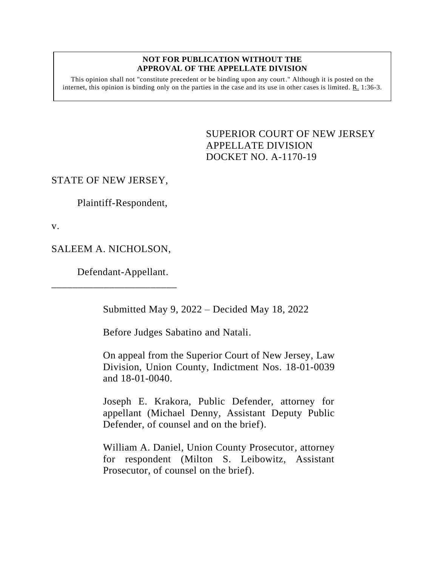### **NOT FOR PUBLICATION WITHOUT THE APPROVAL OF THE APPELLATE DIVISION**

This opinion shall not "constitute precedent or be binding upon any court." Although it is posted on the internet, this opinion is binding only on the parties in the case and its use in other cases is limited. R. 1:36-3.

> SUPERIOR COURT OF NEW JERSEY APPELLATE DIVISION DOCKET NO. A-1170-19

## STATE OF NEW JERSEY,

Plaintiff-Respondent,

v.

SALEEM A. NICHOLSON,

\_\_\_\_\_\_\_\_\_\_\_\_\_\_\_\_\_\_\_\_\_\_\_\_

Defendant-Appellant.

Submitted May 9, 2022 – Decided May 18, 2022

Before Judges Sabatino and Natali.

On appeal from the Superior Court of New Jersey, Law Division, Union County, Indictment Nos. 18-01-0039 and 18-01-0040.

Joseph E. Krakora, Public Defender, attorney for appellant (Michael Denny, Assistant Deputy Public Defender, of counsel and on the brief).

William A. Daniel, Union County Prosecutor, attorney for respondent (Milton S. Leibowitz, Assistant Prosecutor, of counsel on the brief).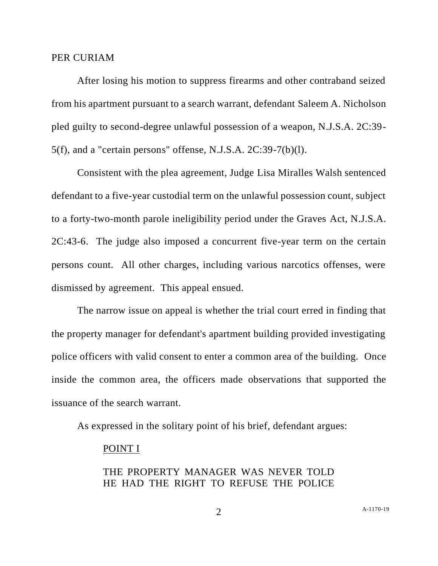## PER CURIAM

After losing his motion to suppress firearms and other contraband seized from his apartment pursuant to a search warrant, defendant Saleem A. Nicholson pled guilty to second-degree unlawful possession of a weapon, N.J.S.A. 2C:39- 5(f), and a "certain persons" offense, N.J.S.A. 2C:39-7(b)(l).

Consistent with the plea agreement, Judge Lisa Miralles Walsh sentenced defendant to a five-year custodial term on the unlawful possession count, subject to a forty-two-month parole ineligibility period under the Graves Act, N.J.S.A. 2C:43-6. The judge also imposed a concurrent five-year term on the certain persons count. All other charges, including various narcotics offenses, were dismissed by agreement. This appeal ensued.

The narrow issue on appeal is whether the trial court erred in finding that the property manager for defendant's apartment building provided investigating police officers with valid consent to enter a common area of the building. Once inside the common area, the officers made observations that supported the issuance of the search warrant.

As expressed in the solitary point of his brief, defendant argues:

### POINT I

# THE PROPERTY MANAGER WAS NEVER TOLD HE HAD THE RIGHT TO REFUSE THE POLICE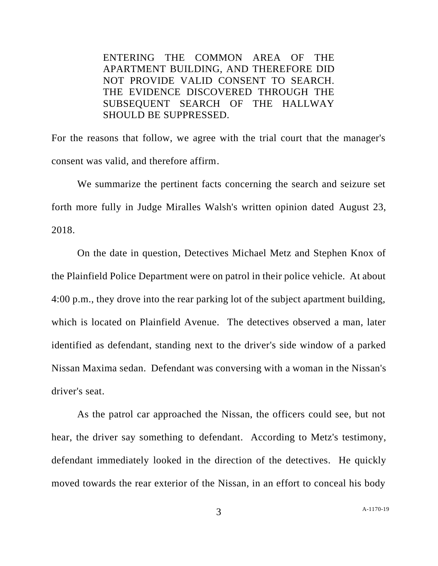ENTERING THE COMMON AREA OF THE APARTMENT BUILDING, AND THEREFORE DID NOT PROVIDE VALID CONSENT TO SEARCH. THE EVIDENCE DISCOVERED THROUGH THE SUBSEQUENT SEARCH OF THE HALLWAY SHOULD BE SUPPRESSED.

For the reasons that follow, we agree with the trial court that the manager's consent was valid, and therefore affirm.

We summarize the pertinent facts concerning the search and seizure set forth more fully in Judge Miralles Walsh's written opinion dated August 23, 2018.

On the date in question, Detectives Michael Metz and Stephen Knox of the Plainfield Police Department were on patrol in their police vehicle. At about 4:00 p.m., they drove into the rear parking lot of the subject apartment building, which is located on Plainfield Avenue. The detectives observed a man, later identified as defendant, standing next to the driver's side window of a parked Nissan Maxima sedan. Defendant was conversing with a woman in the Nissan's driver's seat.

As the patrol car approached the Nissan, the officers could see, but not hear, the driver say something to defendant. According to Metz's testimony, defendant immediately looked in the direction of the detectives. He quickly moved towards the rear exterior of the Nissan, in an effort to conceal his body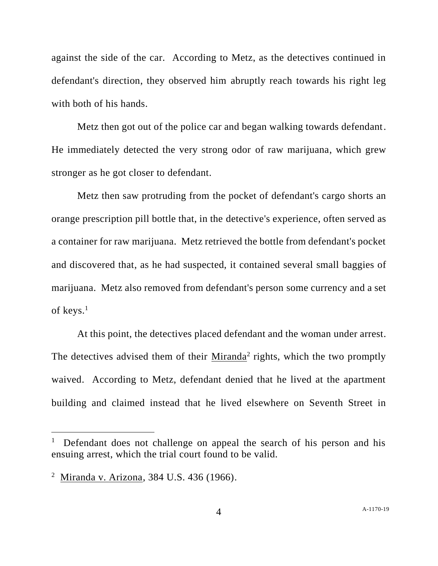against the side of the car. According to Metz, as the detectives continued in defendant's direction, they observed him abruptly reach towards his right leg with both of his hands.

Metz then got out of the police car and began walking towards defendant. He immediately detected the very strong odor of raw marijuana, which grew stronger as he got closer to defendant.

Metz then saw protruding from the pocket of defendant's cargo shorts an orange prescription pill bottle that, in the detective's experience, often served as a container for raw marijuana. Metz retrieved the bottle from defendant's pocket and discovered that, as he had suspected, it contained several small baggies of marijuana. Metz also removed from defendant's person some currency and a set of keys.<sup>1</sup>

At this point, the detectives placed defendant and the woman under arrest. The detectives advised them of their  $Miranda<sup>2</sup>$  rights, which the two promptly waived. According to Metz, defendant denied that he lived at the apartment building and claimed instead that he lived elsewhere on Seventh Street in

<sup>1</sup> Defendant does not challenge on appeal the search of his person and his ensuing arrest, which the trial court found to be valid.

<sup>2</sup> Miranda v. Arizona, 384 U.S. 436 (1966).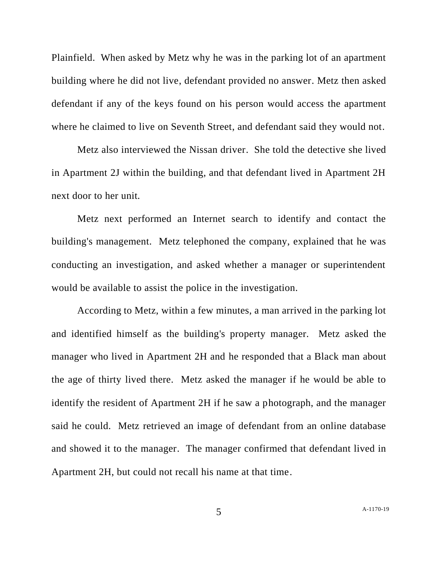Plainfield. When asked by Metz why he was in the parking lot of an apartment building where he did not live, defendant provided no answer. Metz then asked defendant if any of the keys found on his person would access the apartment where he claimed to live on Seventh Street, and defendant said they would not.

Metz also interviewed the Nissan driver. She told the detective she lived in Apartment 2J within the building, and that defendant lived in Apartment 2H next door to her unit.

Metz next performed an Internet search to identify and contact the building's management. Metz telephoned the company, explained that he was conducting an investigation, and asked whether a manager or superintendent would be available to assist the police in the investigation.

According to Metz, within a few minutes, a man arrived in the parking lot and identified himself as the building's property manager. Metz asked the manager who lived in Apartment 2H and he responded that a Black man about the age of thirty lived there. Metz asked the manager if he would be able to identify the resident of Apartment 2H if he saw a photograph, and the manager said he could. Metz retrieved an image of defendant from an online database and showed it to the manager. The manager confirmed that defendant lived in Apartment 2H, but could not recall his name at that time.

5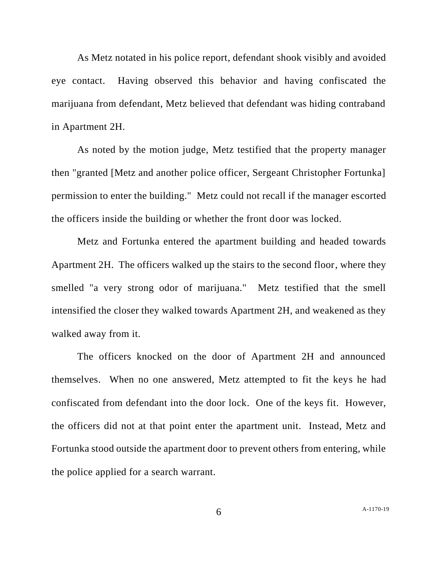As Metz notated in his police report, defendant shook visibly and avoided eye contact. Having observed this behavior and having confiscated the marijuana from defendant, Metz believed that defendant was hiding contraband in Apartment 2H.

As noted by the motion judge, Metz testified that the property manager then "granted [Metz and another police officer, Sergeant Christopher Fortunka] permission to enter the building." Metz could not recall if the manager escorted the officers inside the building or whether the front door was locked.

Metz and Fortunka entered the apartment building and headed towards Apartment 2H. The officers walked up the stairs to the second floor, where they smelled "a very strong odor of marijuana." Metz testified that the smell intensified the closer they walked towards Apartment 2H, and weakened as they walked away from it.

The officers knocked on the door of Apartment 2H and announced themselves. When no one answered, Metz attempted to fit the keys he had confiscated from defendant into the door lock. One of the keys fit. However, the officers did not at that point enter the apartment unit. Instead, Metz and Fortunka stood outside the apartment door to prevent others from entering, while the police applied for a search warrant.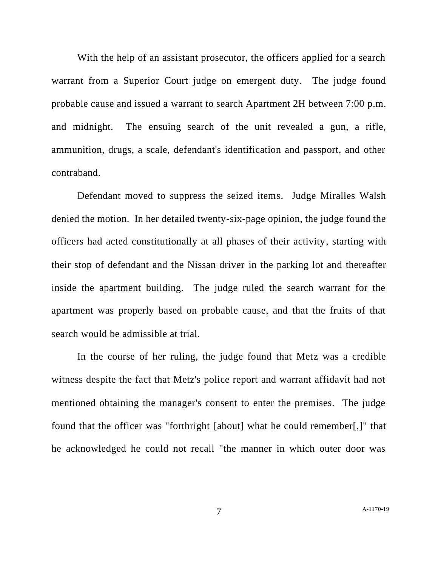With the help of an assistant prosecutor, the officers applied for a search warrant from a Superior Court judge on emergent duty. The judge found probable cause and issued a warrant to search Apartment 2H between 7:00 p.m. and midnight. The ensuing search of the unit revealed a gun, a rifle, ammunition, drugs, a scale, defendant's identification and passport, and other contraband.

Defendant moved to suppress the seized items. Judge Miralles Walsh denied the motion. In her detailed twenty-six-page opinion, the judge found the officers had acted constitutionally at all phases of their activity, starting with their stop of defendant and the Nissan driver in the parking lot and thereafter inside the apartment building. The judge ruled the search warrant for the apartment was properly based on probable cause, and that the fruits of that search would be admissible at trial.

In the course of her ruling, the judge found that Metz was a credible witness despite the fact that Metz's police report and warrant affidavit had not mentioned obtaining the manager's consent to enter the premises. The judge found that the officer was "forthright [about] what he could remember[,]" that he acknowledged he could not recall "the manner in which outer door was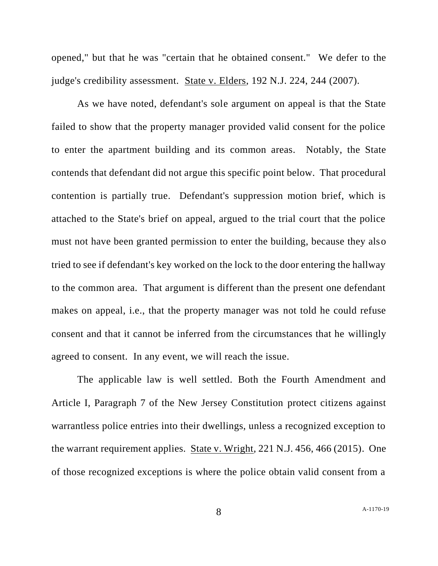opened," but that he was "certain that he obtained consent." We defer to the judge's credibility assessment. State v. Elders, 192 N.J. 224, 244 (2007).

As we have noted, defendant's sole argument on appeal is that the State failed to show that the property manager provided valid consent for the police to enter the apartment building and its common areas. Notably, the State contends that defendant did not argue this specific point below. That procedural contention is partially true. Defendant's suppression motion brief, which is attached to the State's brief on appeal, argued to the trial court that the police must not have been granted permission to enter the building, because they also tried to see if defendant's key worked on the lock to the door entering the hallway to the common area. That argument is different than the present one defendant makes on appeal, i.e., that the property manager was not told he could refuse consent and that it cannot be inferred from the circumstances that he willingly agreed to consent. In any event, we will reach the issue.

The applicable law is well settled. Both the Fourth Amendment and Article I, Paragraph 7 of the New Jersey Constitution protect citizens against warrantless police entries into their dwellings, unless a recognized exception to the warrant requirement applies. State v. Wright, 221 N.J. 456, 466 (2015). One of those recognized exceptions is where the police obtain valid consent from a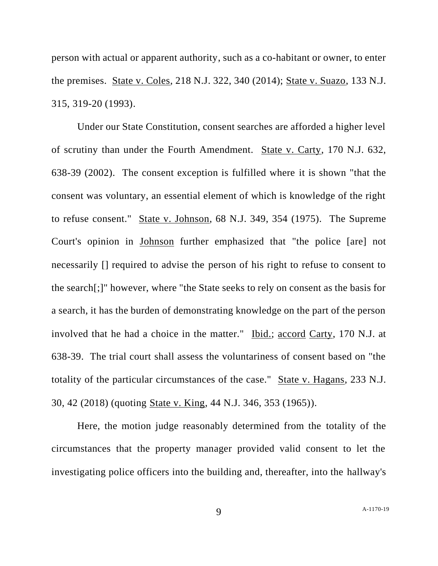person with actual or apparent authority, such as a co-habitant or owner, to enter the premises. State v. Coles, 218 N.J. 322, 340 (2014); State v. Suazo, 133 N.J. 315, 319-20 (1993).

Under our State Constitution, consent searches are afforded a higher level of scrutiny than under the Fourth Amendment. State v. Carty, 170 N.J. 632, 638-39 (2002). The consent exception is fulfilled where it is shown "that the consent was voluntary, an essential element of which is knowledge of the right to refuse consent." State v. Johnson, 68 N.J. 349, 354 (1975). The Supreme Court's opinion in Johnson further emphasized that "the police [are] not necessarily [] required to advise the person of his right to refuse to consent to the search[;]" however, where "the State seeks to rely on consent as the basis for a search, it has the burden of demonstrating knowledge on the part of the person involved that he had a choice in the matter." Ibid.; accord Carty, 170 N.J. at 638-39. The trial court shall assess the voluntariness of consent based on "the totality of the particular circumstances of the case." State v. Hagans, 233 N.J. 30, 42 (2018) (quoting State v. King, 44 N.J. 346, 353 (1965)).

Here, the motion judge reasonably determined from the totality of the circumstances that the property manager provided valid consent to let the investigating police officers into the building and, thereafter, into the hallway's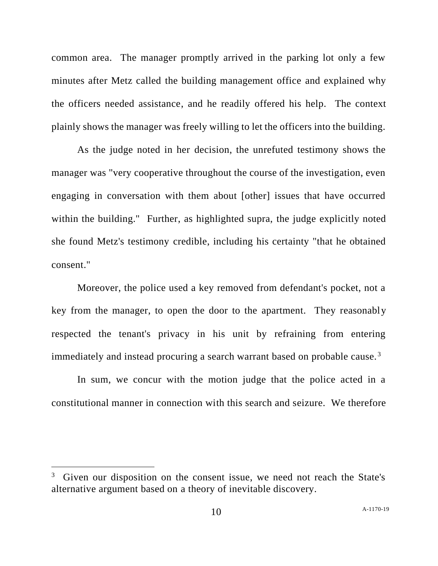common area. The manager promptly arrived in the parking lot only a few minutes after Metz called the building management office and explained why the officers needed assistance, and he readily offered his help. The context plainly shows the manager was freely willing to let the officers into the building.

As the judge noted in her decision, the unrefuted testimony shows the manager was "very cooperative throughout the course of the investigation, even engaging in conversation with them about [other] issues that have occurred within the building." Further, as highlighted supra, the judge explicitly noted she found Metz's testimony credible, including his certainty "that he obtained consent."

Moreover, the police used a key removed from defendant's pocket, not a key from the manager, to open the door to the apartment. They reasonably respected the tenant's privacy in his unit by refraining from entering immediately and instead procuring a search warrant based on probable cause.<sup>3</sup>

In sum, we concur with the motion judge that the police acted in a constitutional manner in connection with this search and seizure. We therefore

<sup>&</sup>lt;sup>3</sup> Given our disposition on the consent issue, we need not reach the State's alternative argument based on a theory of inevitable discovery.